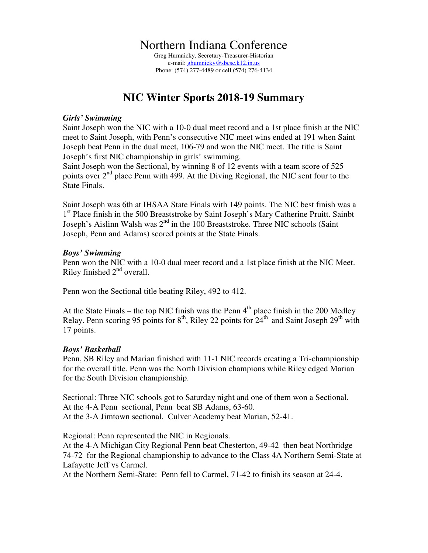## Northern Indiana Conference

Greg Humnicky, Secretary-Treasurer-Historian e-mail: ghumnicky@sbcsc.k12.in.us Phone: (574) 277-4489 or cell (574) 276-4134

# **NIC Winter Sports 2018-19 Summary**

#### *Girls' Swimming*

Saint Joseph won the NIC with a 10-0 dual meet record and a 1st place finish at the NIC meet to Saint Joseph, with Penn's consecutive NIC meet wins ended at 191 when Saint Joseph beat Penn in the dual meet, 106-79 and won the NIC meet. The title is Saint Joseph's first NIC championship in girls' swimming.

Saint Joseph won the Sectional, by winning 8 of 12 events with a team score of 525 points over  $2<sup>nd</sup>$  place Penn with 499. At the Diving Regional, the NIC sent four to the State Finals.

Saint Joseph was 6th at IHSAA State Finals with 149 points. The NIC best finish was a 1<sup>st</sup> Place finish in the 500 Breaststroke by Saint Joseph's Mary Catherine Pruitt. Sainbt Joseph's Aislinn Walsh was  $2^{nd}$  in the 100 Breaststroke. Three NIC schools (Saint Joseph, Penn and Adams) scored points at the State Finals.

#### *Boys' Swimming*

Penn won the NIC with a 10-0 dual meet record and a 1st place finish at the NIC Meet. Riley finished  $2<sup>nd</sup>$  overall.

Penn won the Sectional title beating Riley, 492 to 412.

At the State Finals – the top NIC finish was the Penn  $4<sup>th</sup>$  place finish in the 200 Medley Relay. Penn scoring 95 points for  $8<sup>th</sup>$ , Riley 22 points for  $24<sup>th</sup>$  and Saint Joseph  $29<sup>th</sup>$  with 17 points.

#### *Boys' Basketball*

Penn, SB Riley and Marian finished with 11-1 NIC records creating a Tri-championship for the overall title. Penn was the North Division champions while Riley edged Marian for the South Division championship.

Sectional: Three NIC schools got to Saturday night and one of them won a Sectional. At the 4-A Penn sectional, Penn beat SB Adams, 63-60. At the 3-A Jimtown sectional, Culver Academy beat Marian, 52-41.

Regional: Penn represented the NIC in Regionals.

At the 4-A Michigan City Regional Penn beat Chesterton, 49-42 then beat Northridge 74-72 for the Regional championship to advance to the Class 4A Northern Semi-State at Lafayette Jeff vs Carmel.

At the Northern Semi-State: Penn fell to Carmel, 71-42 to finish its season at 24-4.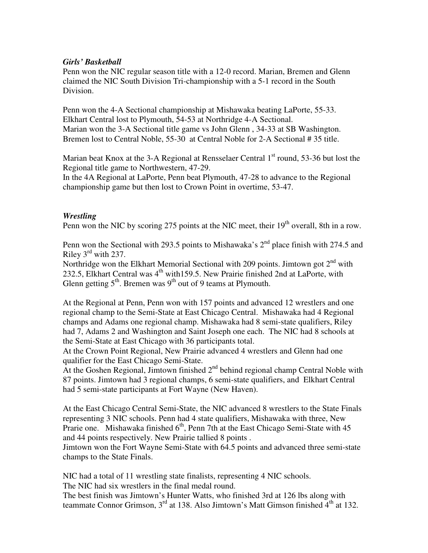#### *Girls' Basketball*

Penn won the NIC regular season title with a 12-0 record. Marian, Bremen and Glenn claimed the NIC South Division Tri-championship with a 5-1 record in the South Division.

Penn won the 4-A Sectional championship at Mishawaka beating LaPorte, 55-33. Elkhart Central lost to Plymouth, 54-53 at Northridge 4-A Sectional. Marian won the 3-A Sectional title game vs John Glenn , 34-33 at SB Washington. Bremen lost to Central Noble, 55-30 at Central Noble for 2-A Sectional # 35 title.

Marian beat Knox at the 3-A Regional at Rensselaer Central  $1<sup>st</sup>$  round, 53-36 but lost the Regional title game to Northwestern, 47-29.

In the 4A Regional at LaPorte, Penn beat Plymouth, 47-28 to advance to the Regional championship game but then lost to Crown Point in overtime, 53-47.

### *Wrestling*

Penn won the NIC by scoring 275 points at the NIC meet, their  $19<sup>th</sup>$  overall, 8th in a row.

Penn won the Sectional with 293.5 points to Mishawaka's  $2<sup>nd</sup>$  place finish with 274.5 and Riley 3rd with 237.

Northridge won the Elkhart Memorial Sectional with 209 points. Jimtown got  $2^{nd}$  with 232.5, Elkhart Central was  $4<sup>th</sup>$  with159.5. New Prairie finished 2nd at LaPorte, with Glenn getting  $5<sup>th</sup>$ . Bremen was  $9<sup>th</sup>$  out of 9 teams at Plymouth.

At the Regional at Penn, Penn won with 157 points and advanced 12 wrestlers and one regional champ to the Semi-State at East Chicago Central. Mishawaka had 4 Regional champs and Adams one regional champ. Mishawaka had 8 semi-state qualifiers, Riley had 7, Adams 2 and Washington and Saint Joseph one each. The NIC had 8 schools at the Semi-State at East Chicago with 36 participants total.

At the Crown Point Regional, New Prairie advanced 4 wrestlers and Glenn had one qualifier for the East Chicago Semi-State.

At the Goshen Regional, Jimtown finished  $2<sup>nd</sup>$  behind regional champ Central Noble with 87 points. Jimtown had 3 regional champs, 6 semi-state qualifiers, and Elkhart Central had 5 semi-state participants at Fort Wayne (New Haven).

At the East Chicago Central Semi-State, the NIC advanced 8 wrestlers to the State Finals representing 3 NIC schools. Penn had 4 state qualifiers, Mishawaka with three, New Prarie one. Mishawaka finished  $6<sup>th</sup>$ , Penn 7th at the East Chicago Semi-State with 45 and 44 points respectively. New Prairie tallied 8 points .

Jimtown won the Fort Wayne Semi-State with 64.5 points and advanced three semi-state champs to the State Finals.

NIC had a total of 11 wrestling state finalists, representing 4 NIC schools. The NIC had six wrestlers in the final medal round.

The best finish was Jimtown's Hunter Watts, who finished 3rd at 126 lbs along with teammate Connor Grimson,  $3<sup>rd</sup>$  at 138. Also Jimtown's Matt Gimson finished  $4<sup>th</sup>$  at 132.